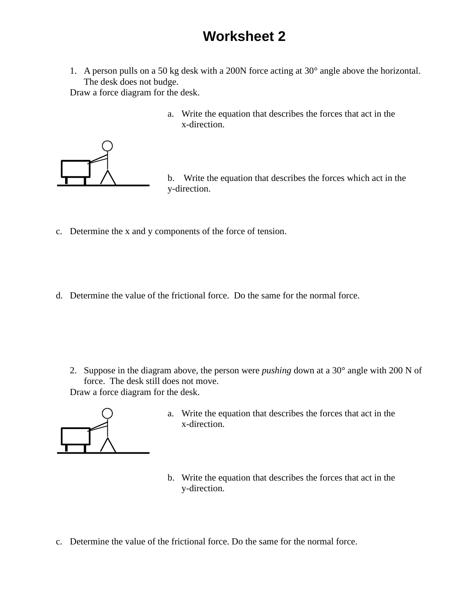## **Worksheet 2**

1. A person pulls on a 50 kg desk with a 200N force acting at 30° angle above the horizontal. The desk does not budge.

Draw a force diagram for the desk.

a. Write the equation that describes the forces that act in the x-direction.



- b. Write the equation that describes the forces which act in the y-direction.
- c. Determine the x and y components of the force of tension.
- d. Determine the value of the frictional force. Do the same for the normal force.

2. Suppose in the diagram above, the person were *pushing* down at a 30° angle with 200 N of force. The desk still does not move. Draw a force diagram for the desk.



- a. Write the equation that describes the forces that act in the x-direction.
- b. Write the equation that describes the forces that act in the y-direction.
- c. Determine the value of the frictional force. Do the same for the normal force.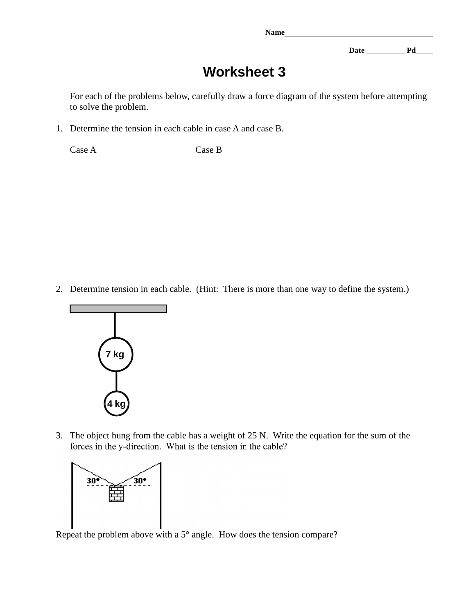**Name** 

Date Pd

## **Worksheet 3**

For each of the problems below, carefully draw a force diagram of the system before attempting to solve the problem.

1. Determine the tension in each cable in case A and case B.

Case A Case B

2. Determine tension in each cable. (Hint: There is more than one way to define the system.)



3. The object hung from the cable has a weight of 25 N. Write the equation for the sum of the forces in the y-direction. What is the tension in the cable?



Repeat the problem above with a 5° angle. How does the tension compare?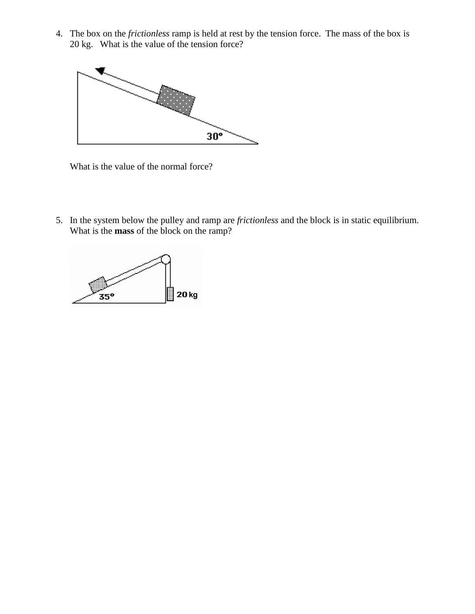4. The box on the *frictionless* ramp is held at rest by the tension force. The mass of the box is 20 kg. What is the value of the tension force?



What is the value of the normal force?

5. In the system below the pulley and ramp are *frictionless* and the block is in static equilibrium. What is the **mass** of the block on the ramp?